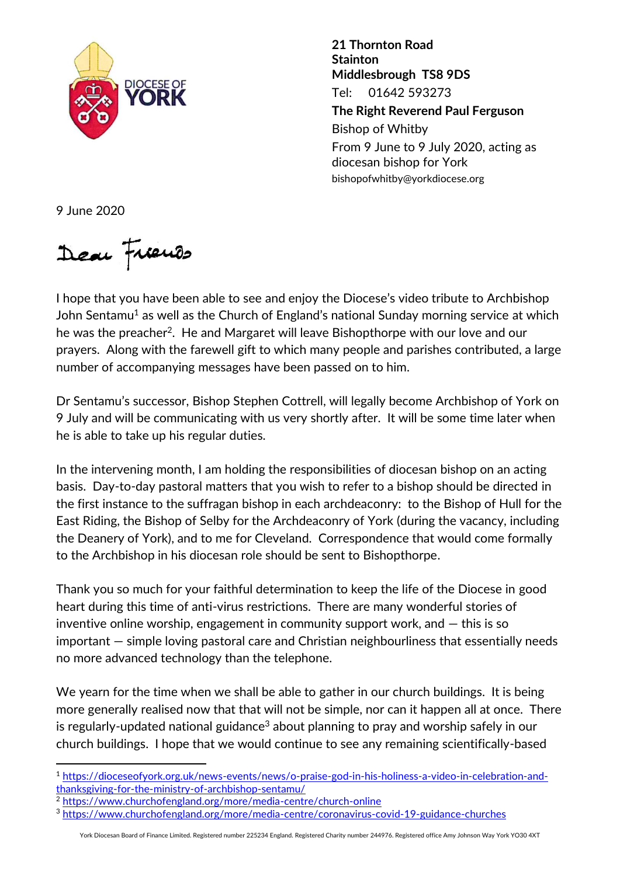

**21 Thornton Road Stainton Middlesbrough TS8 9DS** Tel: 01642 593273 **The Right Reverend Paul Ferguson** Bishop of Whitby From 9 June to 9 July 2020, acting as diocesan bishop for York bishopofwhitby@yorkdiocese.org

9 June 2020

-

Dear Freuds

I hope that you have been able to see and enjoy the Diocese's video tribute to Archbishop John Sentamu<sup>1</sup> as well as the Church of England's national Sunday morning service at which he was the preacher<sup>2</sup>. He and Margaret will leave Bishopthorpe with our love and our prayers. Along with the farewell gift to which many people and parishes contributed, a large number of accompanying messages have been passed on to him.

Dr Sentamu's successor, Bishop Stephen Cottrell, will legally become Archbishop of York on 9 July and will be communicating with us very shortly after. It will be some time later when he is able to take up his regular duties.

In the intervening month, I am holding the responsibilities of diocesan bishop on an acting basis. Day-to-day pastoral matters that you wish to refer to a bishop should be directed in the first instance to the suffragan bishop in each archdeaconry: to the Bishop of Hull for the East Riding, the Bishop of Selby for the Archdeaconry of York (during the vacancy, including the Deanery of York), and to me for Cleveland. Correspondence that would come formally to the Archbishop in his diocesan role should be sent to Bishopthorpe.

Thank you so much for your faithful determination to keep the life of the Diocese in good heart during this time of anti-virus restrictions. There are many wonderful stories of inventive online worship, engagement in community support work, and  $-$  this is so important — simple loving pastoral care and Christian neighbourliness that essentially needs no more advanced technology than the telephone.

We yearn for the time when we shall be able to gather in our church buildings. It is being more generally realised now that that will not be simple, nor can it happen all at once. There is regularly-updated national guidance<sup>3</sup> about planning to pray and worship safely in our church buildings. I hope that we would continue to see any remaining scientifically-based

York Diocesan Board of Finance Limited. Registered number 225234 England. Registered Charity number 244976. Registered office Amy Johnson Way York YO30 4XT

<sup>1</sup> [https://dioceseofyork.org.uk/news-events/news/o-praise-god-in-his-holiness-a-video-in-celebration-and](https://dioceseofyork.org.uk/news-events/news/o-praise-god-in-his-holiness-a-video-in-celebration-and-thanksgiving-for-the-ministry-of-archbishop-sentamu/)[thanksgiving-for-the-ministry-of-archbishop-sentamu/](https://dioceseofyork.org.uk/news-events/news/o-praise-god-in-his-holiness-a-video-in-celebration-and-thanksgiving-for-the-ministry-of-archbishop-sentamu/)

<sup>2</sup> <https://www.churchofengland.org/more/media-centre/church-online>

<sup>3</sup> <https://www.churchofengland.org/more/media-centre/coronavirus-covid-19-guidance-churches>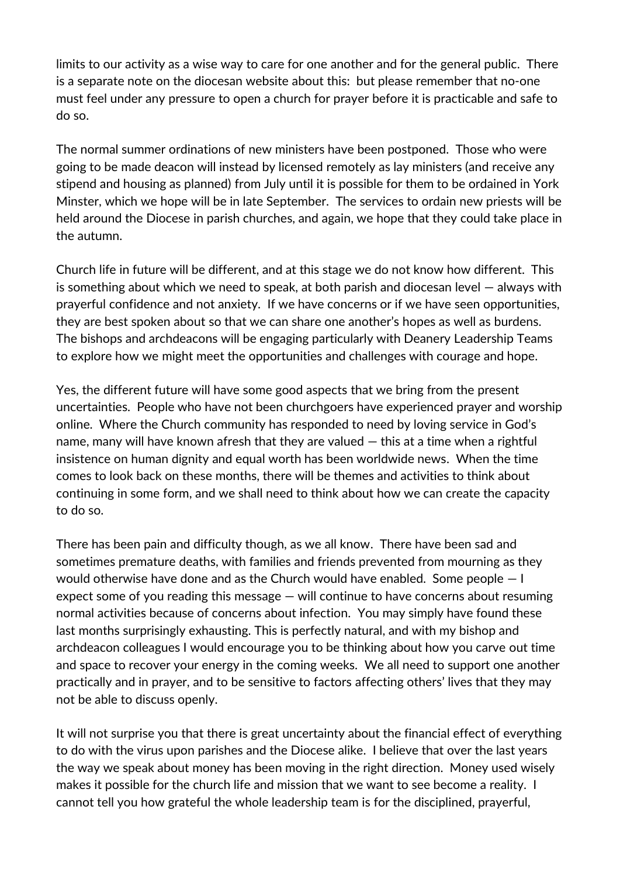limits to our activity as a wise way to care for one another and for the general public. There is a separate note on the diocesan website about this: but please remember that no-one must feel under any pressure to open a church for prayer before it is practicable and safe to do so.

The normal summer ordinations of new ministers have been postponed. Those who were going to be made deacon will instead by licensed remotely as lay ministers (and receive any stipend and housing as planned) from July until it is possible for them to be ordained in York Minster, which we hope will be in late September. The services to ordain new priests will be held around the Diocese in parish churches, and again, we hope that they could take place in the autumn.

Church life in future will be different, and at this stage we do not know how different. This is something about which we need to speak, at both parish and diocesan level — always with prayerful confidence and not anxiety. If we have concerns or if we have seen opportunities, they are best spoken about so that we can share one another's hopes as well as burdens. The bishops and archdeacons will be engaging particularly with Deanery Leadership Teams to explore how we might meet the opportunities and challenges with courage and hope.

Yes, the different future will have some good aspects that we bring from the present uncertainties. People who have not been churchgoers have experienced prayer and worship online. Where the Church community has responded to need by loving service in God's name, many will have known afresh that they are valued — this at a time when a rightful insistence on human dignity and equal worth has been worldwide news. When the time comes to look back on these months, there will be themes and activities to think about continuing in some form, and we shall need to think about how we can create the capacity to do so.

There has been pain and difficulty though, as we all know. There have been sad and sometimes premature deaths, with families and friends prevented from mourning as they would otherwise have done and as the Church would have enabled. Some people — I expect some of you reading this message — will continue to have concerns about resuming normal activities because of concerns about infection. You may simply have found these last months surprisingly exhausting. This is perfectly natural, and with my bishop and archdeacon colleagues I would encourage you to be thinking about how you carve out time and space to recover your energy in the coming weeks. We all need to support one another practically and in prayer, and to be sensitive to factors affecting others' lives that they may not be able to discuss openly.

It will not surprise you that there is great uncertainty about the financial effect of everything to do with the virus upon parishes and the Diocese alike. I believe that over the last years the way we speak about money has been moving in the right direction. Money used wisely makes it possible for the church life and mission that we want to see become a reality. I cannot tell you how grateful the whole leadership team is for the disciplined, prayerful,